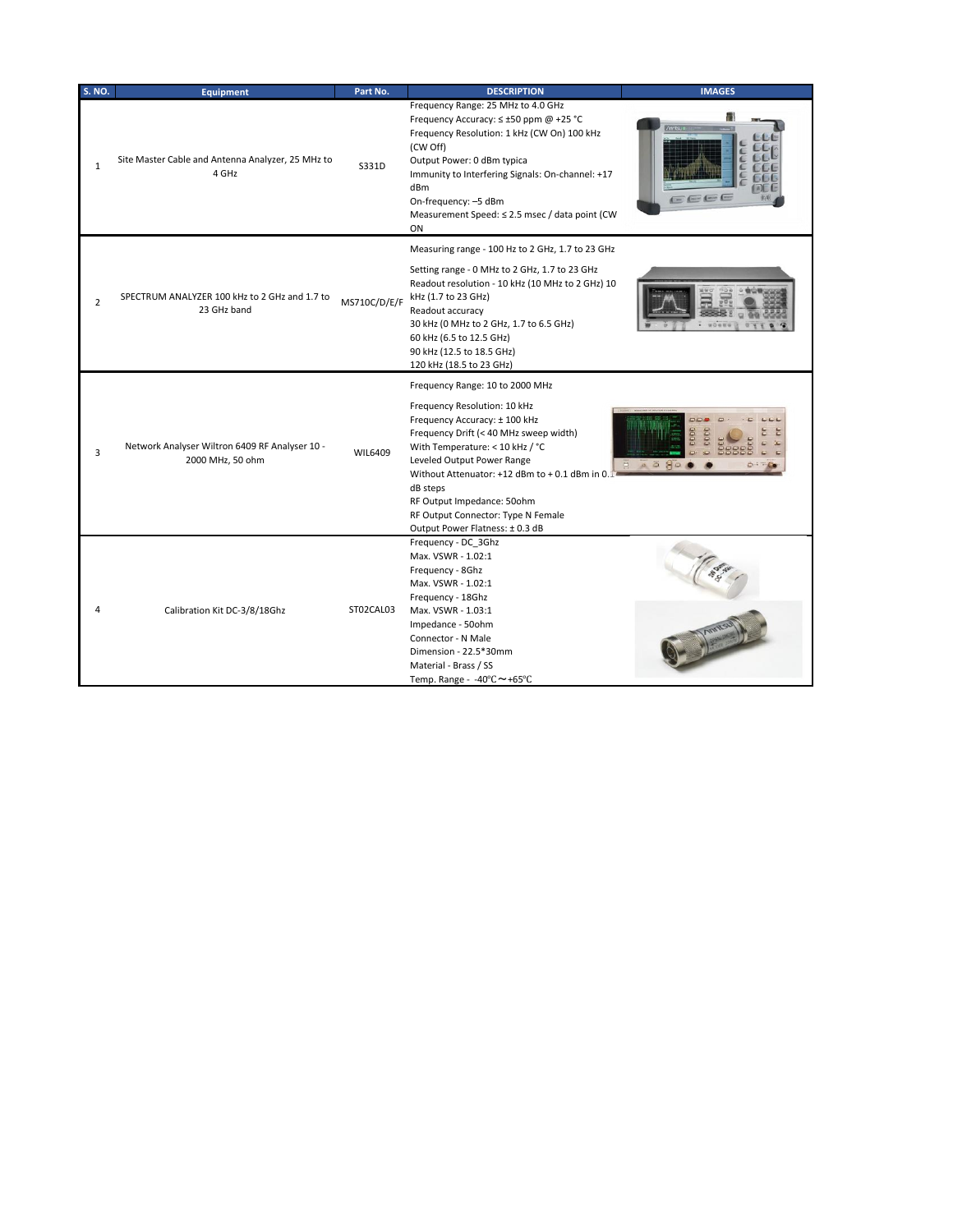| <b>S. NO.</b>  | <b>Equipment</b>                                                   | Part No.     | <b>DESCRIPTION</b>                                                                                                                                                                                                                                                                                                                                                                | <b>IMAGES</b> |
|----------------|--------------------------------------------------------------------|--------------|-----------------------------------------------------------------------------------------------------------------------------------------------------------------------------------------------------------------------------------------------------------------------------------------------------------------------------------------------------------------------------------|---------------|
| $\mathbf{1}$   | Site Master Cable and Antenna Analyzer, 25 MHz to<br>4 GHz         | S331D        | Frequency Range: 25 MHz to 4.0 GHz<br>Frequency Accuracy: ≤ ±50 ppm @ +25 °C<br>Frequency Resolution: 1 kHz (CW On) 100 kHz<br>(CW Off)<br>Output Power: 0 dBm typica<br>Immunity to Interfering Signals: On-channel: +17<br>dBm<br>On-frequency: -5 dBm<br>Measurement Speed: ≤ 2.5 msec / data point (CW<br>ON                                                                  | EEEE          |
| $\overline{2}$ | SPECTRUM ANALYZER 100 kHz to 2 GHz and 1.7 to<br>23 GHz band       | MS710C/D/E/F | Measuring range - 100 Hz to 2 GHz, 1.7 to 23 GHz<br>Setting range - 0 MHz to 2 GHz, 1.7 to 23 GHz<br>Readout resolution - 10 kHz (10 MHz to 2 GHz) 10<br>kHz (1.7 to 23 GHz)<br>Readout accuracy<br>30 kHz (0 MHz to 2 GHz, 1.7 to 6.5 GHz)<br>60 kHz (6.5 to 12.5 GHz)<br>90 kHz (12.5 to 18.5 GHz)<br>120 kHz (18.5 to 23 GHz)                                                  |               |
| 3              | Network Analyser Wiltron 6409 RF Analyser 10 -<br>2000 MHz, 50 ohm | WIL6409      | Frequency Range: 10 to 2000 MHz<br>Frequency Resolution: 10 kHz<br>Frequency Accuracy: ± 100 kHz<br>Frequency Drift (< 40 MHz sweep width)<br>With Temperature: < 10 kHz / °C<br>Leveled Output Power Range<br>Without Attenuator: +12 dBm to + 0.1 dBm in 0.1<br>dB steps<br>RF Output Impedance: 50ohm<br>RF Output Connector: Type N Female<br>Output Power Flatness: ± 0.3 dB |               |
| 4              | Calibration Kit DC-3/8/18Ghz                                       | ST02CAL03    | Frequency - DC 3Ghz<br>Max. VSWR - 1.02:1<br>Frequency - 8Ghz<br>Max. VSWR - 1.02:1<br>Frequency - 18Ghz<br>Max. VSWR - 1.03:1<br>Impedance - 50ohm<br>Connector - N Male<br>Dimension - 22.5*30mm<br>Material - Brass / SS<br>Temp. Range - -40°C~+65°C                                                                                                                          |               |